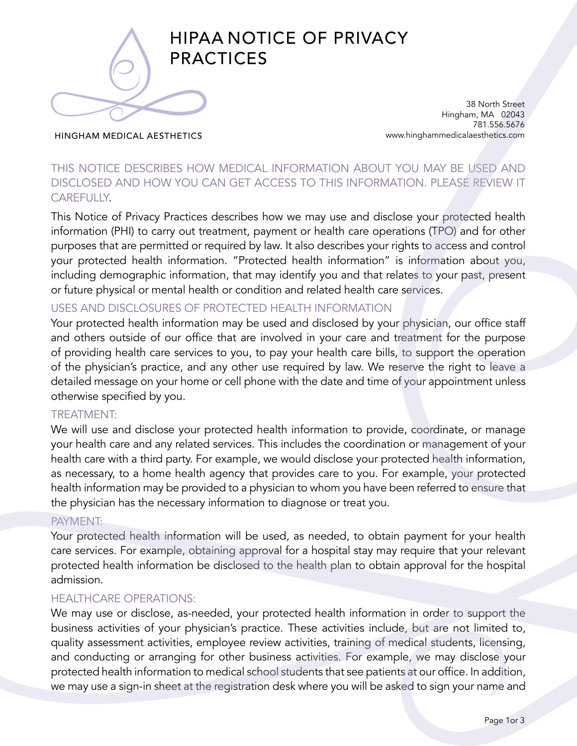

HIPAA NOTICE OF PRIVACY PRACTICES

> 38 North Street Hingham, MA 02043 781.556.5676 www.hinghammedicalaesthetics.com

#### HINGHAM MEDICAL AESTHETICS

THIS NOTICE DESCRIBES HOW MEDICAL INFORMATION ABOUT YOU MAY BE USED AND DISCLOSED AND HOW YOU CAN GET ACCESS TO THIS INFORMATION. PLEASE REVIEW IT CAREFULLY.

This Notice of Privacy Practices describes how we may use and disclose your protected health information (PHI) to carry out treatment, payment or health care operations (TPO) and for other purposes that are permitted or required by law. It also describes your rights to access and control your protected health information. "Protected health information" is information about you, including demographic information, that may identify you and that relates to your past, present or future physical or mental health or condition and related health care services.

# USES AND DISCLOSURES OF PROTECTED HEALTH INFORMATION

Your protected health information may be used and disclosed by your physician, our office staff and others outside of our office that are involved in your care and treatment for the purpose of providing health care services to you, to pay your health care bills, to support the operation of the physician's practice, and any other use required by law. We reserve the right to leave a detailed message on your home or cell phone with the date and time of your appointment unless otherwise specified by you.

### TREATMENT:

We will use and disclose your protected health information to provide, coordinate, or manage your health care and any related services. This includes the coordination or management of your health care with a third party. For example, we would disclose your protected health information, as necessary, to a home health agency that provides care to you. For example, your protected health information may be provided to a physician to whom you have been referred to ensure that the physician has the necessary information to diagnose or treat you.

### PAYMENT:

Your protected health information will be used, as needed, to obtain payment for your health care services. For example, obtaining approval for a hospital stay may require that your relevant protected health information be disclosed to the health plan to obtain approval for the hospital admission.

### HEALTHCARE OPERATIONS:

We may use or disclose, as-needed, your protected health information in order to support the business activities of your physician's practice. These activities include, but are not limited to, quality assessment activities, employee review activities, training of medical students, licensing, and conducting or arranging for other business activities. For example, we may disclose your protected health information to medical school students that see patients at our office. In addition, we may use a sign-in sheet at the registration desk where you will be asked to sign your name and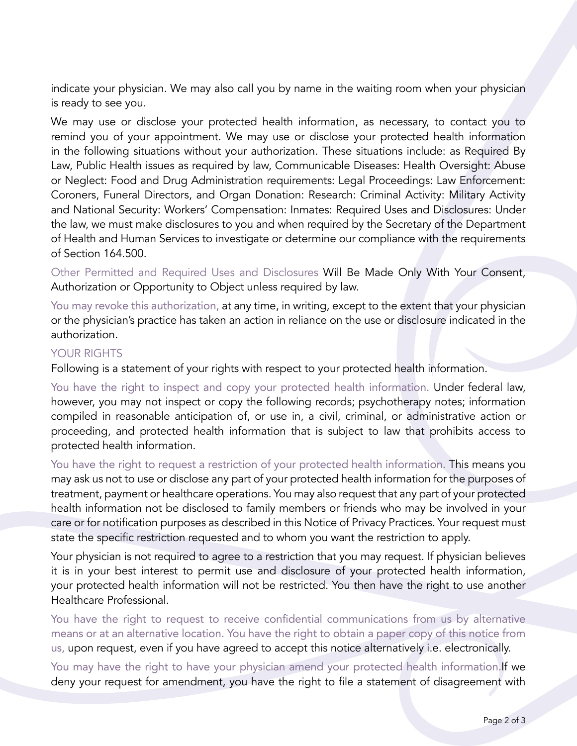indicate your physician. We may also call you by name in the waiting room when your physician is ready to see you.

We may use or disclose your protected health information, as necessary, to contact you to remind you of your appointment. We may use or disclose your protected health information in the following situations without your authorization. These situations include: as Required By Law, Public Health issues as required by law, Communicable Diseases: Health Oversight: Abuse or Neglect: Food and Drug Administration requirements: Legal Proceedings: Law Enforcement: Coroners, Funeral Directors, and Organ Donation: Research: Criminal Activity: Military Activity and National Security: Workers' Compensation: Inmates: Required Uses and Disclosures: Under the law, we must make disclosures to you and when required by the Secretary of the Department of Health and Human Services to investigate or determine our compliance with the requirements of Section 164.500.

Other Permitted and Required Uses and Disclosures Will Be Made Only With Your Consent, Authorization or Opportunity to Object unless required by law.

You may revoke this authorization, at any time, in writing, except to the extent that your physician or the physician's practice has taken an action in reliance on the use or disclosure indicated in the authorization.

### YOUR RIGHTS

Following is a statement of your rights with respect to your protected health information.

You have the right to inspect and copy your protected health information. Under federal law, however, you may not inspect or copy the following records; psychotherapy notes; information compiled in reasonable anticipation of, or use in, a civil, criminal, or administrative action or proceeding, and protected health information that is subject to law that prohibits access to protected health information.

You have the right to request a restriction of your protected health information. This means you may ask us not to use or disclose any part of your protected health information for the purposes of treatment, payment or healthcare operations. You may also request that any part of your protected health information not be disclosed to family members or friends who may be involved in your care or for notification purposes as described in this Notice of Privacy Practices. Your request must state the specific restriction requested and to whom you want the restriction to apply.

Your physician is not required to agree to a restriction that you may request. If physician believes it is in your best interest to permit use and disclosure of your protected health information, your protected health information will not be restricted. You then have the right to use another Healthcare Professional.

You have the right to request to receive confidential communications from us by alternative means or at an alternative location. You have the right to obtain a paper copy of this notice from us, upon request, even if you have agreed to accept this notice alternatively i.e. electronically.

You may have the right to have your physician amend your protected health information. If we deny your request for amendment, you have the right to file a statement of disagreement with